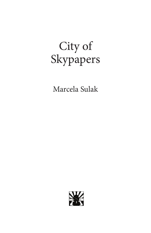# City of Skypapers

Marcela Sulak

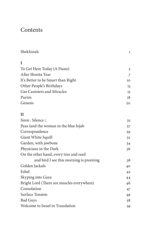## Contents

| Shekhinah                                        | 1  |
|--------------------------------------------------|----|
| I                                                |    |
|                                                  |    |
| To Get Here Today (A Piano)<br>After Shmita Year | 5  |
|                                                  | 7  |
| It's Better to be Smart than Right               | 10 |
| Other People's Birthdays                         | 13 |
| Gas Canisters and Miracles                       | 15 |
| Purim                                            | 18 |
| Genesis                                          | 20 |
| $\mathbf{H}$                                     |    |
| Siren : Silence ::                               | 25 |
| Peas (and the woman in the blue hijab            | 27 |
| Correspondence                                   | 29 |
| Giant White Squill                               | 32 |
| Garden, with jawbone                             | 34 |
| Physicians in the Dark                           | 36 |
| On the other hand, every tree and reed           |    |
| and bird I see this morning is preening          | 38 |
| Golden Jackals                                   | 40 |
| Eshel                                            | 42 |
| Skyping into Gaza                                | 44 |
| Bright Lord (There are muscles everywhere)       | 46 |
| Consolation                                      | 47 |
| <b>Surface Tension</b>                           | 49 |
| <b>Bad Guys</b>                                  | 58 |
| Welcome to Israel in Translation                 | 59 |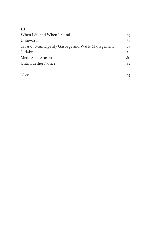#### **III**

| When I Sit and When I Stand                        | 65 |
|----------------------------------------------------|----|
| Untoward                                           | 67 |
| Tel Aviv Municipality Garbage and Waste Management | 74 |
| Sudoku                                             | 78 |
| Men's Shoe Season                                  | 80 |
| Until Further Notice                               | 82 |
|                                                    |    |

 $Notes$  85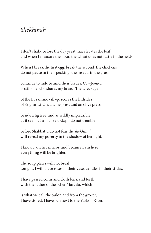#### *Shekhinah*

I don't shake before the dry yeast that elevates the loaf, and when I measure the flour, the wheat does not rattle in the fields.

When I break the first egg, break the second, the chickens do not pause in their pecking, the insects in the grass

continue to hide behind their blades. *Companion* is still one who shares my bread. The wreckage

of the Byzantine village scores the hillsides of Srigim-Li-On, a wine press and an olive press

beside a fig tree, and as wildly implausible as it seems, I am alive today. I do not tremble

before Shabbat, I do not fear the *shekhinah* will reveal my poverty in the shadow of her light.

I know I am her mirror, and because I am here, everything will be brighter.

The soup plates will not break tonight. I will place roses in their vase, candles in their sticks.

I have passed coins and cloth back and forth with the father of the other Marcela, which

is what we call the tailor, and from the grocer, I have stored. I have run next to the Yarkon River,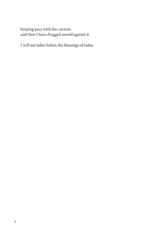keeping pace with the current, and then I have dragged myself against it.

I will not falter before the blessings of today.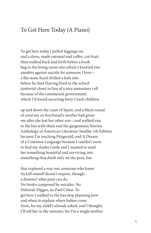#### To Get Here Today (A Piano)

To get here today I pulled leggings on, and a dress, made oatmeal and coffee, cut fruit, then walked back and forth before a book bag in the living room into which I knotted two amulets against suicide for someone I love a flat stone Karel drilled a hole into before he died (having lived in the school janitorial closet in lieu of a nice monastery cell because of the communist government) which I'd found escorting forty Czech children

up and down the coast of Spain, and a black round of coral my ex-boyfriend's mother had given me after she lost her other son—and walked-ran to the bus with them and the gargantuan Norton Anthology of American Literature Smaller 7th Edition because I'm teaching Fitzgerald, and A Dream of a Common Language because I couldn't seem to find my Audre Lorde and I wanted to send her something beautiful and surviving, not something that dwelt only on the pain, but

that explored a way out; someone who knew (to kill oneself doesn't require, though, a disaster) what pain can do. No books composed by suicides. No Deborah Digges, no Paul Celan. To get here I walked to the bus stop planning how and when to explain where babies come from, for my child's already asked, and I thought, I'll tell her in the summer, for I'm a single mother.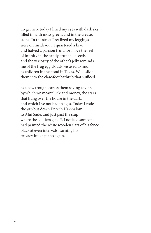To get here today I lined my eyes with dark sky, filled in with moss green, and in the crease, stone. In the street I realized my leggings were on inside-out. I quartered a kiwi and halved a passion fruit, for I love the feel of infinity in the sandy crunch of seeds, and the viscosity of the other's jelly reminds me of the frog egg clouds we used to find as children in the pond in Texas. We'd slide them into the claw-foot bathtub that sufficed

as a cow trough, caress them saying caviar, by which we meant luck and money, the stars that hung over the house in the dark, and which I've not had in ages. Today I rode the #56 bus down Derech Ha-shalom to Aluf Sade, and just past the stop where the soldiers get off, I noticed someone had painted the white wooden slats of his fence black at even intervals, turning his privacy into a piano again.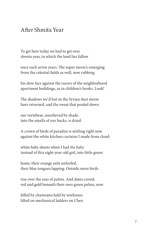### After Shmita Year

To get here today we had to get over *shmita* year, in which the land lies fallow

once each seven years. The super moon's emerging from the celestial fields as well, now rubbing

his slow face against the razors of the neighborhood apartment buildings, as in children's books. Look!

The shadows we'd lost in the Syrian dust storm have returned, and the sweat that pooled down

our vertebrae, unrelieved by shade, into the smalls of our backs, is dried.

A crown of birds of paradise is settling right now against the white kitchen curtains I made from cloud-

white baby sheets when I had *the baby* instead of this eight-year-old girl, into little green

boats, their orange sails unfurled, their blue tongues lapping. Outside more birds

rise over the seas of palms. And dates crowd, red and gold beneath their own green palms, now

felled by chainsaws held by workmen lifted on mechanical ladders on Chen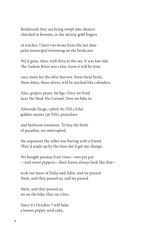Boulevard; they are being swept into clusters clutched in brooms, in the skinny gold fingers

of witches. I have two boats from the last datepalm municipal trimming on the bookcase.

We'd gone, then, with Riva to the sea. It was low tide. The Yarkon River was calm. Soon it will be time

once more for the olive harvest. Soon these birds, these dates, these olives, will be stacked like calendars.

Also, grapes, pears, fat figs. Once we lived near the Shuk Ha-Carmel. Now we bike in.

Almonds (large, salted, 80 NIS a kilo) golden raisins (36 NIS), pistachios

and heirloom tomatoes. To buy the birds of paradise, we interrupted

the argument the seller was having with a friend. They'd made up by the time she'd got my change.

We bought passion fruit vines—two per pot —and sweet peppers—their leaves always look like that—

took our leave of Dalia and Adin, and we passed them, and they passed us, and we passed

them, and they passed us, we on the bike, they on a bus.

Since it's October, I will bake a lemon poppy-seed cake,